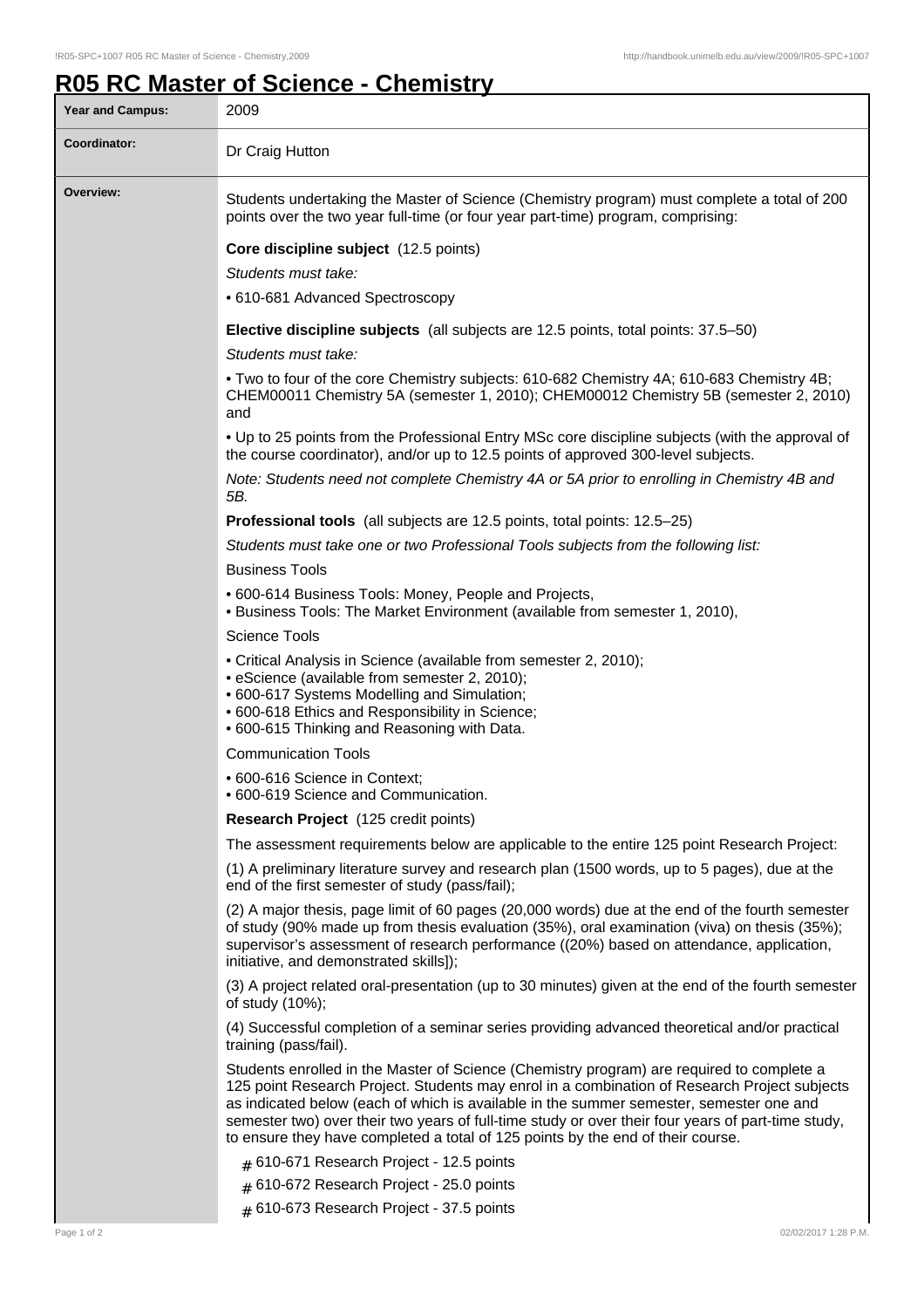## **R05 RC Master of Science - Chemistry**

| Year and Campus: | 2009                                                                                                                                                                                                                                                                                                                                                                                                                                                                          |
|------------------|-------------------------------------------------------------------------------------------------------------------------------------------------------------------------------------------------------------------------------------------------------------------------------------------------------------------------------------------------------------------------------------------------------------------------------------------------------------------------------|
| Coordinator:     | Dr Craig Hutton                                                                                                                                                                                                                                                                                                                                                                                                                                                               |
| Overview:        | Students undertaking the Master of Science (Chemistry program) must complete a total of 200<br>points over the two year full-time (or four year part-time) program, comprising:                                                                                                                                                                                                                                                                                               |
|                  | Core discipline subject (12.5 points)<br>Students must take:<br>• 610-681 Advanced Spectroscopy                                                                                                                                                                                                                                                                                                                                                                               |
|                  | <b>Elective discipline subjects</b> (all subjects are 12.5 points, total points: 37.5–50)<br>Students must take:                                                                                                                                                                                                                                                                                                                                                              |
|                  | . Two to four of the core Chemistry subjects: 610-682 Chemistry 4A; 610-683 Chemistry 4B;<br>CHEM00011 Chemistry 5A (semester 1, 2010); CHEM00012 Chemistry 5B (semester 2, 2010)<br>and                                                                                                                                                                                                                                                                                      |
|                  | . Up to 25 points from the Professional Entry MSc core discipline subjects (with the approval of<br>the course coordinator), and/or up to 12.5 points of approved 300-level subjects.                                                                                                                                                                                                                                                                                         |
|                  | Note: Students need not complete Chemistry 4A or 5A prior to enrolling in Chemistry 4B and<br>5B.                                                                                                                                                                                                                                                                                                                                                                             |
|                  | Professional tools (all subjects are 12.5 points, total points: 12.5–25)                                                                                                                                                                                                                                                                                                                                                                                                      |
|                  | Students must take one or two Professional Tools subjects from the following list:                                                                                                                                                                                                                                                                                                                                                                                            |
|                  | <b>Business Tools</b>                                                                                                                                                                                                                                                                                                                                                                                                                                                         |
|                  | • 600-614 Business Tools: Money, People and Projects,<br>. Business Tools: The Market Environment (available from semester 1, 2010),                                                                                                                                                                                                                                                                                                                                          |
|                  | <b>Science Tools</b>                                                                                                                                                                                                                                                                                                                                                                                                                                                          |
|                  | • Critical Analysis in Science (available from semester 2, 2010);<br>• eScience (available from semester 2, 2010);<br>• 600-617 Systems Modelling and Simulation;<br>. 600-618 Ethics and Responsibility in Science;<br>. 600-615 Thinking and Reasoning with Data.                                                                                                                                                                                                           |
|                  | <b>Communication Tools</b>                                                                                                                                                                                                                                                                                                                                                                                                                                                    |
|                  | • 600-616 Science in Context;<br>• 600-619 Science and Communication.                                                                                                                                                                                                                                                                                                                                                                                                         |
|                  | Research Project (125 credit points)                                                                                                                                                                                                                                                                                                                                                                                                                                          |
|                  | The assessment requirements below are applicable to the entire 125 point Research Project:                                                                                                                                                                                                                                                                                                                                                                                    |
|                  | (1) A preliminary literature survey and research plan (1500 words, up to 5 pages), due at the<br>end of the first semester of study (pass/fail);                                                                                                                                                                                                                                                                                                                              |
|                  | (2) A major thesis, page limit of 60 pages (20,000 words) due at the end of the fourth semester<br>of study (90% made up from thesis evaluation (35%), oral examination (viva) on thesis (35%);<br>supervisor's assessment of research performance ((20%) based on attendance, application,<br>initiative, and demonstrated skills]);                                                                                                                                         |
|                  | (3) A project related oral-presentation (up to 30 minutes) given at the end of the fourth semester<br>of study (10%);                                                                                                                                                                                                                                                                                                                                                         |
|                  | (4) Successful completion of a seminar series providing advanced theoretical and/or practical<br>training (pass/fail).                                                                                                                                                                                                                                                                                                                                                        |
|                  | Students enrolled in the Master of Science (Chemistry program) are required to complete a<br>125 point Research Project. Students may enrol in a combination of Research Project subjects<br>as indicated below (each of which is available in the summer semester, semester one and<br>semester two) over their two years of full-time study or over their four years of part-time study,<br>to ensure they have completed a total of 125 points by the end of their course. |
|                  | $#$ 610-671 Research Project - 12.5 points                                                                                                                                                                                                                                                                                                                                                                                                                                    |
|                  | # 610-672 Research Project - 25.0 points<br># 610-673 Research Project - 37.5 points                                                                                                                                                                                                                                                                                                                                                                                          |